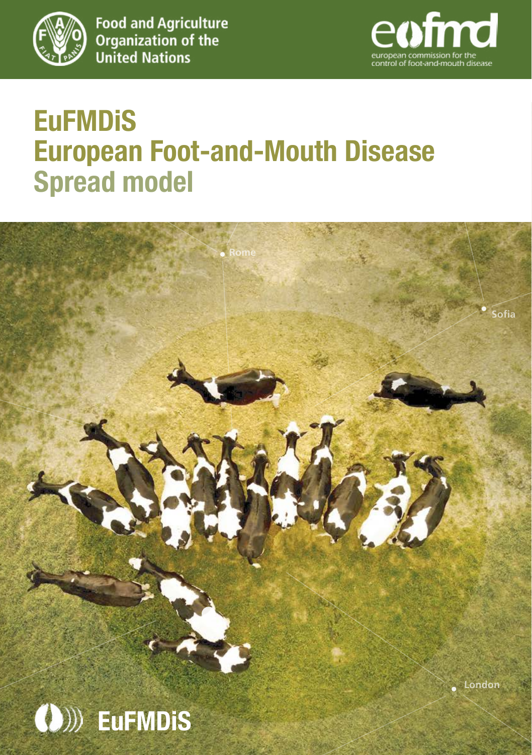

**Food and Agriculture Organization of the**<br>
United Nations



# **European Foot-and-Mouth Disease EuFMDiS Spread model**

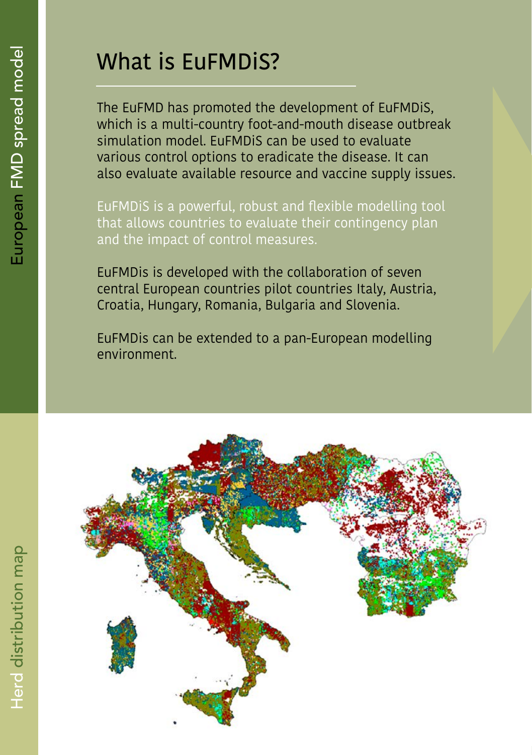# What is EuFMDiS?

The EuFMD has promoted the development of EuFMDiS, which is a multi-country foot-and-mouth disease outbreak simulation model. EuFMDiS can be used to evaluate various control options to eradicate the disease. It can also evaluate available resource and vaccine supply issues.

EuFMDiS is a powerful, robust and flexible modelling tool that allows countries to evaluate their contingency plan and the impact of control measures.

EuFMDis is developed with the collaboration of seven central European countries pilot countries Italy, Austria, Croatia, Hungary, Romania, Bulgaria and Slovenia.

EuFMDis can be extended to a pan-European modelling environment.

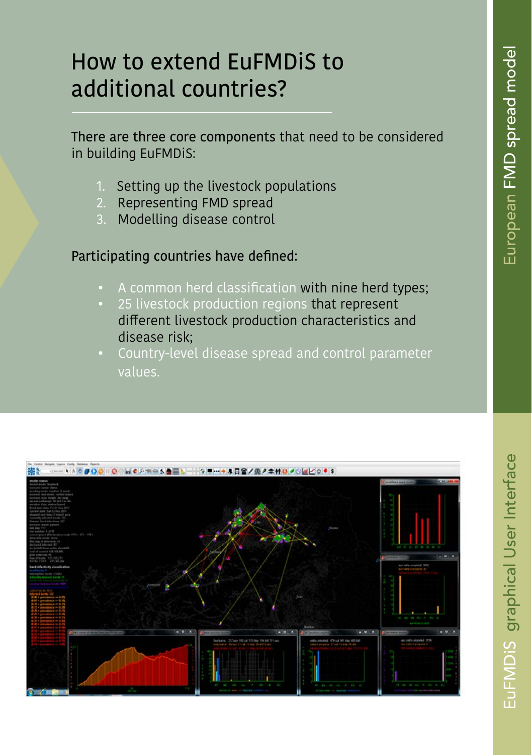## How to extend EuFMDiS to additional countries?

There are three core components that need to be considered in building EuFMDiS:

- 1. Setting up the livestock populations
- 2. Representing FMD spread
- 3. Modelling disease control

#### Participating countries have defined:

- A common herd classification with nine herd types;
- 25 livestock production regions that represent different livestock production characteristics and disease risk;
- Country-level disease spread and control parameter values.